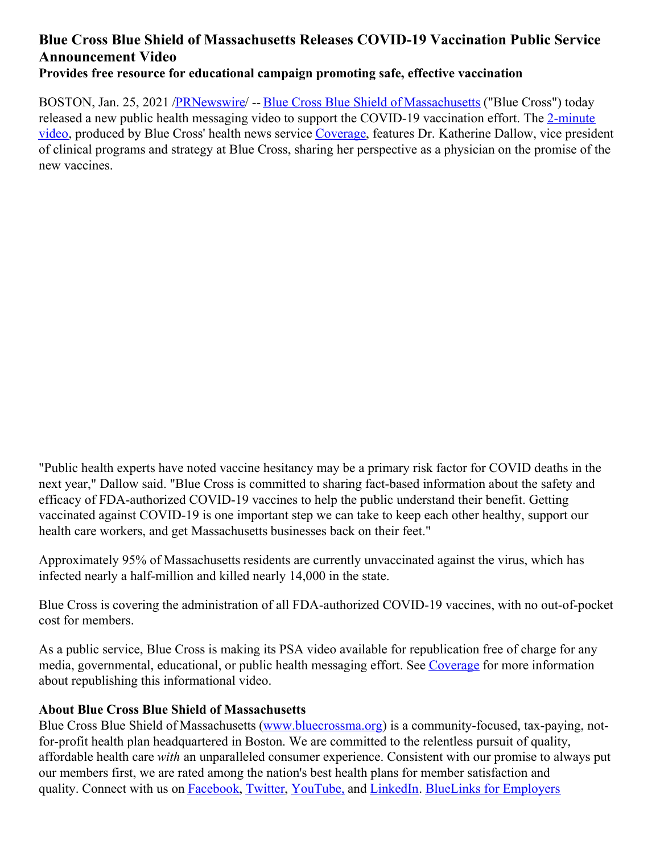## **Blue Cross Blue Shield of Massachusetts Releases COVID-19 Vaccination Public Service Announcement Video Provides free resource for educational campaign promoting safe, effective vaccination**

BOSTON, Jan. 25, 2021 [/PRNewswire](http://www.prnewswire.com/)/ -- Blue Cross Blue Shield of [Massachusetts](https://c212.net/c/link/?t=0&l=en&o=3046061-1&h=935324583&u=https%3A%2F%2Fwww.bluecrossma.org%2F&a=Blue+Cross+Blue+Shield+of+Massachusetts) ("Blue Cross") today released a new public health messaging video to support the COVID-19 [vaccination](https://c212.net/c/link/?t=0&l=en&o=3046061-1&h=1833374734&u=https%3A%2F%2Fwww.youtube.com%2Fwatch%3Fv%3DrdduNkzPtxo%26feature%3Dyoutu.be&a=2-minute+video) effort. The 2-minute video, produced by Blue Cross' health news service [Coverage](https://c212.net/c/link/?t=0&l=en&o=3046061-1&h=2674314430&u=https%3A%2F%2Fcoverage.bluecrossma.com%2F&a=Coverage), features Dr. Katherine Dallow, vice president of clinical programs and strategy at Blue Cross, sharing her perspective as a physician on the promise of the new vaccines.

"Public health experts have noted vaccine hesitancy may be a primary risk factor for COVID deaths in the next year," Dallow said. "Blue Cross is committed to sharing fact-based information about the safety and efficacy of FDA-authorized COVID-19 vaccines to help the public understand their benefit. Getting vaccinated against COVID-19 is one important step we can take to keep each other healthy, support our health care workers, and get Massachusetts businesses back on their feet."

Approximately 95% of Massachusetts residents are currently unvaccinated against the virus, which has infected nearly a half-million and killed nearly 14,000 in the state.

Blue Cross is covering the administration of all FDA-authorized COVID-19 vaccines, with no out-of-pocket cost for members.

As a public service, Blue Cross is making its PSA video available for republication free of charge for any media, governmental, educational, or public health messaging effort. See [Coverage](https://c212.net/c/link/?t=0&l=en&o=3046061-1&h=729378295&u=https%3A%2F%2Fcoverage.bluecrossma.com%2Faboutus&a=Coverage) for more information about republishing this informational video.

## **About Blue Cross Blue Shield of Massachusetts**

Blue Cross Blue Shield of Massachusetts [\(www.bluecrossma.org](https://c212.net/c/link/?t=0&l=en&o=3046061-1&h=1660381351&u=http%3A%2F%2Fwww.bluecrossma.org%2F&a=www.bluecrossma.org)) is a community-focused, tax-paying, notfor-profit health plan headquartered in Boston. We are committed to the relentless pursuit of quality, affordable health care *with* an unparalleled consumer experience. Consistent with our promise to always put our members first, we are rated among the nation's best health plans for member satisfaction and quality. Connect with us on [Facebook](https://c212.net/c/link/?t=0&l=en&o=3046061-1&h=1744016686&u=https%3A%2F%2Fwww.facebook.com%2FBCBSMA&a=Facebook), [Twitter](https://c212.net/c/link/?t=0&l=en&o=3046061-1&h=3469578093&u=https%3A%2F%2Ftwitter.com%2FBCBSMA&a=Twitter), [YouTube,](https://c212.net/c/link/?t=0&l=en&o=3046061-1&h=3889964501&u=https%3A%2F%2Fwww.youtube.com%2Fchannel%2FUCxtKEeJPREsFwTrJ87VFfTQ&a=YouTube%2C) and [LinkedIn](https://c212.net/c/link/?t=0&l=en&o=3046061-1&h=1632912278&u=https%3A%2F%2Fwww.linkedin.com%2Fcompany%2Fblue-cross-blue-shield-of-massachusetts%3Ftrk%3Dtyah%26trkInfo%3Dtas%253Ablue%2Bcross%2Bblue%2Bshield%2Bof%2Bm%252Cidx%253A2-2-3&a=LinkedIn). BlueLinks for [Employers](https://c212.net/c/link/?t=0&l=en&o=3046061-1&h=3307531362&u=http%3A%2F%2Fwww.bluecrossma.com%2Fbluelinks-for-employers%2F&a=BlueLinks+for+Employers)